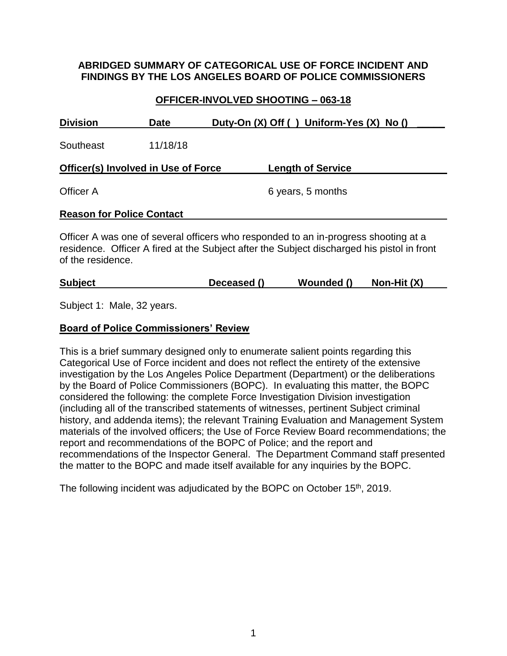## **ABRIDGED SUMMARY OF CATEGORICAL USE OF FORCE INCIDENT AND FINDINGS BY THE LOS ANGELES BOARD OF POLICE COMMISSIONERS**

## **OFFICER-INVOLVED SHOOTING – 063-18**

| <b>Division</b>                     | <b>Date</b> |  | Duty-On (X) Off () Uniform-Yes (X) No ()                                                                                                                                                                                                                                                                                                        |  |  |
|-------------------------------------|-------------|--|-------------------------------------------------------------------------------------------------------------------------------------------------------------------------------------------------------------------------------------------------------------------------------------------------------------------------------------------------|--|--|
| Southeast                           | 11/18/18    |  |                                                                                                                                                                                                                                                                                                                                                 |  |  |
| Officer(s) Involved in Use of Force |             |  | <b>Length of Service</b>                                                                                                                                                                                                                                                                                                                        |  |  |
| Officer A                           |             |  | 6 years, 5 months                                                                                                                                                                                                                                                                                                                               |  |  |
| <b>Reason for Police Contact</b>    |             |  |                                                                                                                                                                                                                                                                                                                                                 |  |  |
|                                     |             |  | Officer A was one of several officers who responded to an in-progress shooting at a<br>. The contract $\bigcap_{i=1}^n C_i$ is a set of $\bigcap_{i=1}^n C_i$ is a set of $\bigcap_{i=1}^n C_i$ . The contract of $C_i$ is a set of $C_i$ is a set of $C_i$ is a set of $C_i$ is a set of $C_i$ is a set of $C_i$ is a set of $C_i$ is a set of |  |  |

residence. Officer A fired at the Subject after the Subject discharged his pistol in front of the residence.

| <b>Subject</b><br>Wounded ()<br>Deceased () | Non-Hit (X) |
|---------------------------------------------|-------------|
|---------------------------------------------|-------------|

Subject 1: Male, 32 years.

### **Board of Police Commissioners' Review**

This is a brief summary designed only to enumerate salient points regarding this Categorical Use of Force incident and does not reflect the entirety of the extensive investigation by the Los Angeles Police Department (Department) or the deliberations by the Board of Police Commissioners (BOPC). In evaluating this matter, the BOPC considered the following: the complete Force Investigation Division investigation (including all of the transcribed statements of witnesses, pertinent Subject criminal history, and addenda items); the relevant Training Evaluation and Management System materials of the involved officers; the Use of Force Review Board recommendations; the report and recommendations of the BOPC of Police; and the report and recommendations of the Inspector General. The Department Command staff presented the matter to the BOPC and made itself available for any inquiries by the BOPC.

The following incident was adjudicated by the BOPC on October 15<sup>th</sup>, 2019.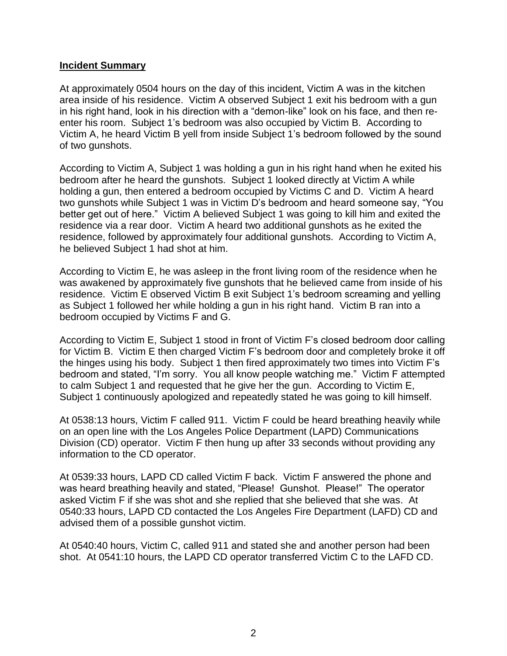#### **Incident Summary**

At approximately 0504 hours on the day of this incident, Victim A was in the kitchen area inside of his residence. Victim A observed Subject 1 exit his bedroom with a gun in his right hand, look in his direction with a "demon-like" look on his face, and then reenter his room. Subject 1's bedroom was also occupied by Victim B. According to Victim A, he heard Victim B yell from inside Subject 1's bedroom followed by the sound of two gunshots.

According to Victim A, Subject 1 was holding a gun in his right hand when he exited his bedroom after he heard the gunshots. Subject 1 looked directly at Victim A while holding a gun, then entered a bedroom occupied by Victims C and D. Victim A heard two gunshots while Subject 1 was in Victim D's bedroom and heard someone say, "You better get out of here." Victim A believed Subject 1 was going to kill him and exited the residence via a rear door. Victim A heard two additional gunshots as he exited the residence, followed by approximately four additional gunshots. According to Victim A, he believed Subject 1 had shot at him.

According to Victim E, he was asleep in the front living room of the residence when he was awakened by approximately five gunshots that he believed came from inside of his residence. Victim E observed Victim B exit Subject 1's bedroom screaming and yelling as Subject 1 followed her while holding a gun in his right hand. Victim B ran into a bedroom occupied by Victims F and G.

According to Victim E, Subject 1 stood in front of Victim F's closed bedroom door calling for Victim B. Victim E then charged Victim F's bedroom door and completely broke it off the hinges using his body. Subject 1 then fired approximately two times into Victim F's bedroom and stated, "I'm sorry. You all know people watching me." Victim F attempted to calm Subject 1 and requested that he give her the gun. According to Victim E, Subject 1 continuously apologized and repeatedly stated he was going to kill himself.

At 0538:13 hours, Victim F called 911. Victim F could be heard breathing heavily while on an open line with the Los Angeles Police Department (LAPD) Communications Division (CD) operator. Victim F then hung up after 33 seconds without providing any information to the CD operator.

At 0539:33 hours, LAPD CD called Victim F back. Victim F answered the phone and was heard breathing heavily and stated, "Please! Gunshot. Please!" The operator asked Victim F if she was shot and she replied that she believed that she was. At 0540:33 hours, LAPD CD contacted the Los Angeles Fire Department (LAFD) CD and advised them of a possible gunshot victim.

At 0540:40 hours, Victim C, called 911 and stated she and another person had been shot. At 0541:10 hours, the LAPD CD operator transferred Victim C to the LAFD CD.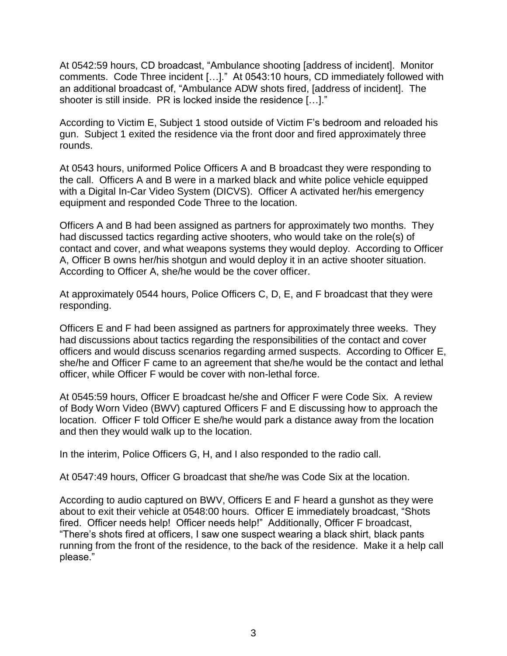At 0542:59 hours, CD broadcast, "Ambulance shooting [address of incident]. Monitor comments. Code Three incident […]." At 0543:10 hours, CD immediately followed with an additional broadcast of, "Ambulance ADW shots fired, [address of incident]. The shooter is still inside. PR is locked inside the residence […]."

According to Victim E, Subject 1 stood outside of Victim F's bedroom and reloaded his gun. Subject 1 exited the residence via the front door and fired approximately three rounds.

At 0543 hours, uniformed Police Officers A and B broadcast they were responding to the call. Officers A and B were in a marked black and white police vehicle equipped with a Digital In-Car Video System (DICVS). Officer A activated her/his emergency equipment and responded Code Three to the location.

Officers A and B had been assigned as partners for approximately two months. They had discussed tactics regarding active shooters, who would take on the role(s) of contact and cover, and what weapons systems they would deploy. According to Officer A, Officer B owns her/his shotgun and would deploy it in an active shooter situation. According to Officer A, she/he would be the cover officer.

At approximately 0544 hours, Police Officers C, D, E, and F broadcast that they were responding.

Officers E and F had been assigned as partners for approximately three weeks. They had discussions about tactics regarding the responsibilities of the contact and cover officers and would discuss scenarios regarding armed suspects. According to Officer E, she/he and Officer F came to an agreement that she/he would be the contact and lethal officer, while Officer F would be cover with non-lethal force.

At 0545:59 hours, Officer E broadcast he/she and Officer F were Code Six. A review of Body Worn Video (BWV) captured Officers F and E discussing how to approach the location. Officer F told Officer E she/he would park a distance away from the location and then they would walk up to the location.

In the interim, Police Officers G, H, and I also responded to the radio call.

At 0547:49 hours, Officer G broadcast that she/he was Code Six at the location.

According to audio captured on BWV, Officers E and F heard a gunshot as they were about to exit their vehicle at 0548:00 hours. Officer E immediately broadcast, "Shots fired. Officer needs help! Officer needs help!" Additionally, Officer F broadcast, "There's shots fired at officers, I saw one suspect wearing a black shirt, black pants running from the front of the residence, to the back of the residence. Make it a help call please."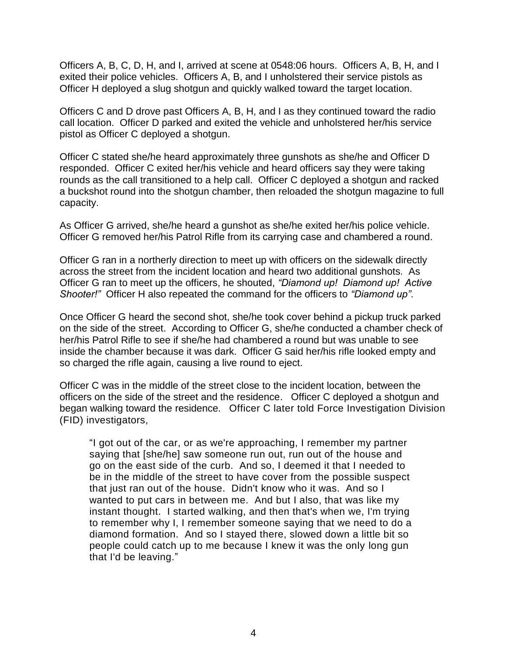Officers A, B, C, D, H, and I, arrived at scene at 0548:06 hours. Officers A, B, H, and I exited their police vehicles. Officers A, B, and I unholstered their service pistols as Officer H deployed a slug shotgun and quickly walked toward the target location.

Officers C and D drove past Officers A, B, H, and I as they continued toward the radio call location. Officer D parked and exited the vehicle and unholstered her/his service pistol as Officer C deployed a shotgun.

Officer C stated she/he heard approximately three gunshots as she/he and Officer D responded. Officer C exited her/his vehicle and heard officers say they were taking rounds as the call transitioned to a help call. Officer C deployed a shotgun and racked a buckshot round into the shotgun chamber, then reloaded the shotgun magazine to full capacity.

As Officer G arrived, she/he heard a gunshot as she/he exited her/his police vehicle. Officer G removed her/his Patrol Rifle from its carrying case and chambered a round.

Officer G ran in a northerly direction to meet up with officers on the sidewalk directly across the street from the incident location and heard two additional gunshots. As Officer G ran to meet up the officers, he shouted, *"Diamond up! Diamond up! Active Shooter!"* Officer H also repeated the command for the officers to *"Diamond up"*.

Once Officer G heard the second shot, she/he took cover behind a pickup truck parked on the side of the street. According to Officer G, she/he conducted a chamber check of her/his Patrol Rifle to see if she/he had chambered a round but was unable to see inside the chamber because it was dark. Officer G said her/his rifle looked empty and so charged the rifle again, causing a live round to eject.

Officer C was in the middle of the street close to the incident location, between the officers on the side of the street and the residence. Officer C deployed a shotgun and began walking toward the residence. Officer C later told Force Investigation Division (FID) investigators,

"I got out of the car, or as we're approaching, I remember my partner saying that [she/he] saw someone run out, run out of the house and go on the east side of the curb. And so, I deemed it that I needed to be in the middle of the street to have cover from the possible suspect that just ran out of the house. Didn't know who it was. And so I wanted to put cars in between me. And but I also, that was like my instant thought. I started walking, and then that's when we, I'm trying to remember why I, I remember someone saying that we need to do a diamond formation. And so I stayed there, slowed down a little bit so people could catch up to me because I knew it was the only long gun that I'd be leaving."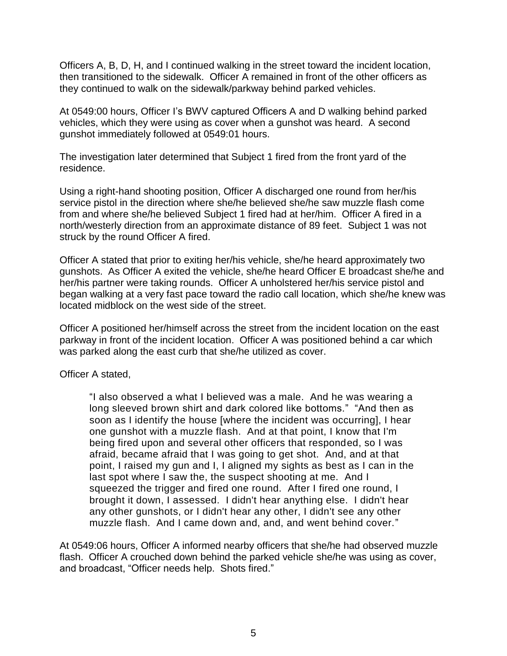Officers A, B, D, H, and I continued walking in the street toward the incident location, then transitioned to the sidewalk. Officer A remained in front of the other officers as they continued to walk on the sidewalk/parkway behind parked vehicles.

At 0549:00 hours, Officer I's BWV captured Officers A and D walking behind parked vehicles, which they were using as cover when a gunshot was heard. A second gunshot immediately followed at 0549:01 hours.

The investigation later determined that Subject 1 fired from the front yard of the residence.

Using a right-hand shooting position, Officer A discharged one round from her/his service pistol in the direction where she/he believed she/he saw muzzle flash come from and where she/he believed Subject 1 fired had at her/him. Officer A fired in a north/westerly direction from an approximate distance of 89 feet. Subject 1 was not struck by the round Officer A fired.

Officer A stated that prior to exiting her/his vehicle, she/he heard approximately two gunshots. As Officer A exited the vehicle, she/he heard Officer E broadcast she/he and her/his partner were taking rounds. Officer A unholstered her/his service pistol and began walking at a very fast pace toward the radio call location, which she/he knew was located midblock on the west side of the street.

Officer A positioned her/himself across the street from the incident location on the east parkway in front of the incident location. Officer A was positioned behind a car which was parked along the east curb that she/he utilized as cover.

Officer A stated,

"I also observed a what I believed was a male. And he was wearing a long sleeved brown shirt and dark colored like bottoms." "And then as soon as I identify the house [where the incident was occurring], I hear one gunshot with a muzzle flash. And at that point, I know that I'm being fired upon and several other officers that responded, so I was afraid, became afraid that I was going to get shot. And, and at that point, I raised my gun and I, I aligned my sights as best as I can in the last spot where I saw the, the suspect shooting at me. And I squeezed the trigger and fired one round. After I fired one round, I brought it down, I assessed. I didn't hear anything else. I didn't hear any other gunshots, or I didn't hear any other, I didn't see any other muzzle flash. And I came down and, and, and went behind cover."

At 0549:06 hours, Officer A informed nearby officers that she/he had observed muzzle flash. Officer A crouched down behind the parked vehicle she/he was using as cover, and broadcast, "Officer needs help. Shots fired."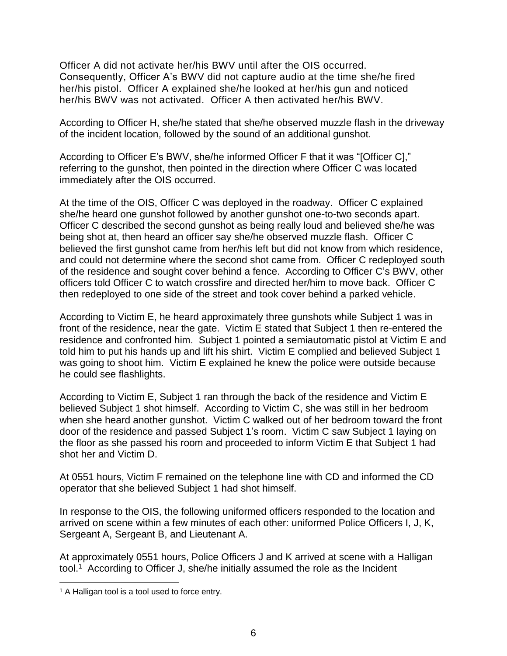Officer A did not activate her/his BWV until after the OIS occurred. Consequently, Officer A's BWV did not capture audio at the time she/he fired her/his pistol. Officer A explained she/he looked at her/his gun and noticed her/his BWV was not activated. Officer A then activated her/his BWV.

According to Officer H, she/he stated that she/he observed muzzle flash in the driveway of the incident location, followed by the sound of an additional gunshot.

According to Officer E's BWV, she/he informed Officer F that it was "[Officer C]," referring to the gunshot, then pointed in the direction where Officer C was located immediately after the OIS occurred.

At the time of the OIS, Officer C was deployed in the roadway. Officer C explained she/he heard one gunshot followed by another gunshot one-to-two seconds apart. Officer C described the second gunshot as being really loud and believed she/he was being shot at, then heard an officer say she/he observed muzzle flash. Officer C believed the first gunshot came from her/his left but did not know from which residence, and could not determine where the second shot came from. Officer C redeployed south of the residence and sought cover behind a fence. According to Officer C's BWV, other officers told Officer C to watch crossfire and directed her/him to move back. Officer C then redeployed to one side of the street and took cover behind a parked vehicle.

According to Victim E, he heard approximately three gunshots while Subject 1 was in front of the residence, near the gate. Victim E stated that Subject 1 then re-entered the residence and confronted him. Subject 1 pointed a semiautomatic pistol at Victim E and told him to put his hands up and lift his shirt. Victim E complied and believed Subject 1 was going to shoot him. Victim E explained he knew the police were outside because he could see flashlights.

According to Victim E, Subject 1 ran through the back of the residence and Victim E believed Subject 1 shot himself. According to Victim C, she was still in her bedroom when she heard another gunshot. Victim C walked out of her bedroom toward the front door of the residence and passed Subject 1's room. Victim C saw Subject 1 laying on the floor as she passed his room and proceeded to inform Victim E that Subject 1 had shot her and Victim D.

At 0551 hours, Victim F remained on the telephone line with CD and informed the CD operator that she believed Subject 1 had shot himself.

In response to the OIS, the following uniformed officers responded to the location and arrived on scene within a few minutes of each other: uniformed Police Officers I, J, K, Sergeant A, Sergeant B, and Lieutenant A.

At approximately 0551 hours, Police Officers J and K arrived at scene with a Halligan tool.<sup>1</sup> According to Officer J, she/he initially assumed the role as the Incident

 $\overline{a}$ <sup>1</sup> A Halligan tool is a tool used to force entry.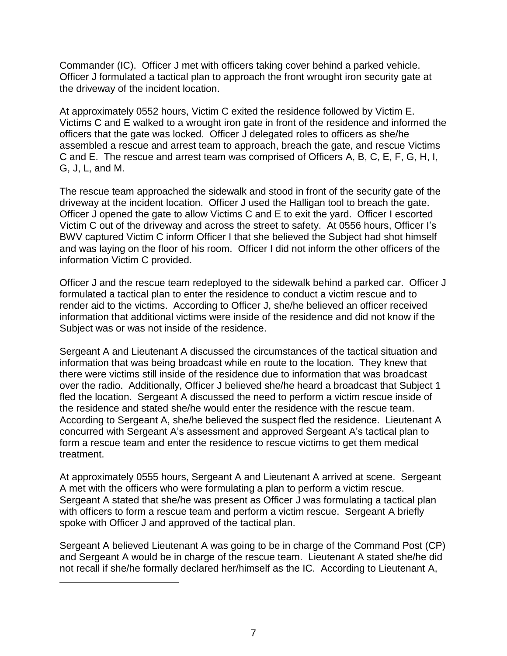Commander (IC). Officer J met with officers taking cover behind a parked vehicle. Officer J formulated a tactical plan to approach the front wrought iron security gate at the driveway of the incident location.

At approximately 0552 hours, Victim C exited the residence followed by Victim E. Victims C and E walked to a wrought iron gate in front of the residence and informed the officers that the gate was locked. Officer J delegated roles to officers as she/he assembled a rescue and arrest team to approach, breach the gate, and rescue Victims C and E. The rescue and arrest team was comprised of Officers A, B, C, E, F, G, H, I, G, J, L, and M.

The rescue team approached the sidewalk and stood in front of the security gate of the driveway at the incident location. Officer J used the Halligan tool to breach the gate. Officer J opened the gate to allow Victims C and E to exit the yard. Officer I escorted Victim C out of the driveway and across the street to safety. At 0556 hours, Officer I's BWV captured Victim C inform Officer I that she believed the Subject had shot himself and was laying on the floor of his room. Officer I did not inform the other officers of the information Victim C provided.

Officer J and the rescue team redeployed to the sidewalk behind a parked car. Officer J formulated a tactical plan to enter the residence to conduct a victim rescue and to render aid to the victims. According to Officer J, she/he believed an officer received information that additional victims were inside of the residence and did not know if the Subject was or was not inside of the residence.

Sergeant A and Lieutenant A discussed the circumstances of the tactical situation and information that was being broadcast while en route to the location. They knew that there were victims still inside of the residence due to information that was broadcast over the radio. Additionally, Officer J believed she/he heard a broadcast that Subject 1 fled the location. Sergeant A discussed the need to perform a victim rescue inside of the residence and stated she/he would enter the residence with the rescue team. According to Sergeant A, she/he believed the suspect fled the residence. Lieutenant A concurred with Sergeant A's assessment and approved Sergeant A's tactical plan to form a rescue team and enter the residence to rescue victims to get them medical treatment.

At approximately 0555 hours, Sergeant A and Lieutenant A arrived at scene. Sergeant A met with the officers who were formulating a plan to perform a victim rescue. Sergeant A stated that she/he was present as Officer J was formulating a tactical plan with officers to form a rescue team and perform a victim rescue. Sergeant A briefly spoke with Officer J and approved of the tactical plan.

Sergeant A believed Lieutenant A was going to be in charge of the Command Post (CP) and Sergeant A would be in charge of the rescue team. Lieutenant A stated she/he did not recall if she/he formally declared her/himself as the IC. According to Lieutenant A,

 $\overline{a}$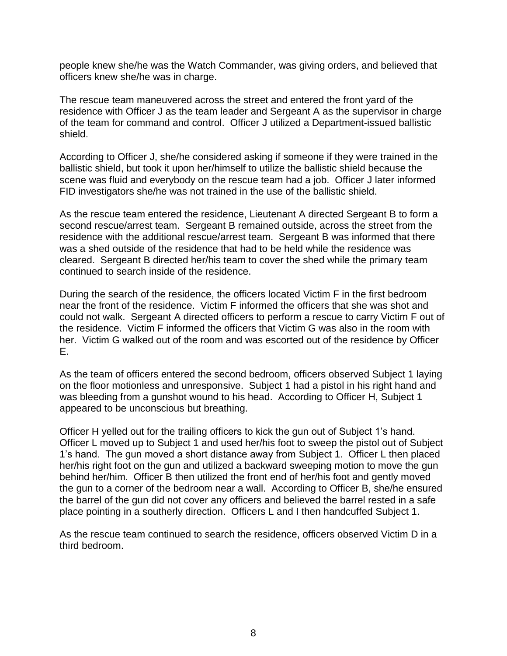people knew she/he was the Watch Commander, was giving orders, and believed that officers knew she/he was in charge.

The rescue team maneuvered across the street and entered the front yard of the residence with Officer J as the team leader and Sergeant A as the supervisor in charge of the team for command and control. Officer J utilized a Department-issued ballistic shield.

According to Officer J, she/he considered asking if someone if they were trained in the ballistic shield, but took it upon her/himself to utilize the ballistic shield because the scene was fluid and everybody on the rescue team had a job. Officer J later informed FID investigators she/he was not trained in the use of the ballistic shield.

As the rescue team entered the residence, Lieutenant A directed Sergeant B to form a second rescue/arrest team. Sergeant B remained outside, across the street from the residence with the additional rescue/arrest team. Sergeant B was informed that there was a shed outside of the residence that had to be held while the residence was cleared. Sergeant B directed her/his team to cover the shed while the primary team continued to search inside of the residence.

During the search of the residence, the officers located Victim F in the first bedroom near the front of the residence. Victim F informed the officers that she was shot and could not walk. Sergeant A directed officers to perform a rescue to carry Victim F out of the residence. Victim F informed the officers that Victim G was also in the room with her. Victim G walked out of the room and was escorted out of the residence by Officer E.

As the team of officers entered the second bedroom, officers observed Subject 1 laying on the floor motionless and unresponsive. Subject 1 had a pistol in his right hand and was bleeding from a gunshot wound to his head. According to Officer H, Subject 1 appeared to be unconscious but breathing.

Officer H yelled out for the trailing officers to kick the gun out of Subject 1's hand. Officer L moved up to Subject 1 and used her/his foot to sweep the pistol out of Subject 1's hand. The gun moved a short distance away from Subject 1. Officer L then placed her/his right foot on the gun and utilized a backward sweeping motion to move the gun behind her/him. Officer B then utilized the front end of her/his foot and gently moved the gun to a corner of the bedroom near a wall. According to Officer B, she/he ensured the barrel of the gun did not cover any officers and believed the barrel rested in a safe place pointing in a southerly direction. Officers L and I then handcuffed Subject 1.

As the rescue team continued to search the residence, officers observed Victim D in a third bedroom.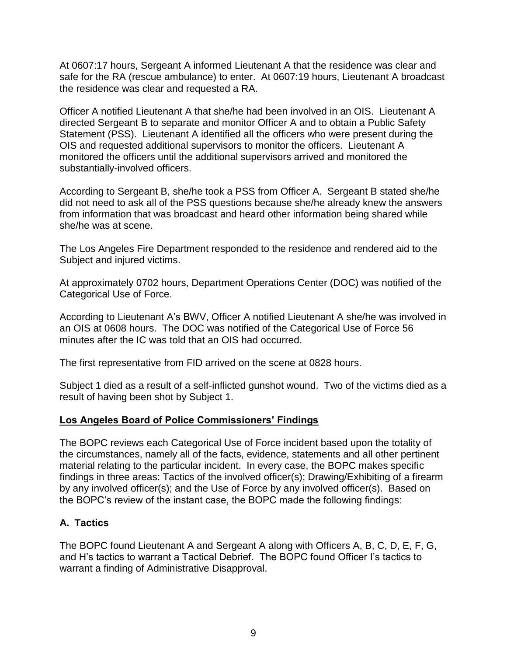At 0607:17 hours, Sergeant A informed Lieutenant A that the residence was clear and safe for the RA (rescue ambulance) to enter. At 0607:19 hours, Lieutenant A broadcast the residence was clear and requested a RA.

Officer A notified Lieutenant A that she/he had been involved in an OIS. Lieutenant A directed Sergeant B to separate and monitor Officer A and to obtain a Public Safety Statement (PSS). Lieutenant A identified all the officers who were present during the OIS and requested additional supervisors to monitor the officers. Lieutenant A monitored the officers until the additional supervisors arrived and monitored the substantially-involved officers.

According to Sergeant B, she/he took a PSS from Officer A. Sergeant B stated she/he did not need to ask all of the PSS questions because she/he already knew the answers from information that was broadcast and heard other information being shared while she/he was at scene.

The Los Angeles Fire Department responded to the residence and rendered aid to the Subject and injured victims.

At approximately 0702 hours, Department Operations Center (DOC) was notified of the Categorical Use of Force.

According to Lieutenant A's BWV, Officer A notified Lieutenant A she/he was involved in an OIS at 0608 hours. The DOC was notified of the Categorical Use of Force 56 minutes after the IC was told that an OIS had occurred.

The first representative from FID arrived on the scene at 0828 hours.

Subject 1 died as a result of a self-inflicted gunshot wound. Two of the victims died as a result of having been shot by Subject 1.

### **Los Angeles Board of Police Commissioners' Findings**

The BOPC reviews each Categorical Use of Force incident based upon the totality of the circumstances, namely all of the facts, evidence, statements and all other pertinent material relating to the particular incident. In every case, the BOPC makes specific findings in three areas: Tactics of the involved officer(s); Drawing/Exhibiting of a firearm by any involved officer(s); and the Use of Force by any involved officer(s). Based on the BOPC's review of the instant case, the BOPC made the following findings:

# **A. Tactics**

The BOPC found Lieutenant A and Sergeant A along with Officers A, B, C, D, E, F, G, and H's tactics to warrant a Tactical Debrief. The BOPC found Officer I's tactics to warrant a finding of Administrative Disapproval.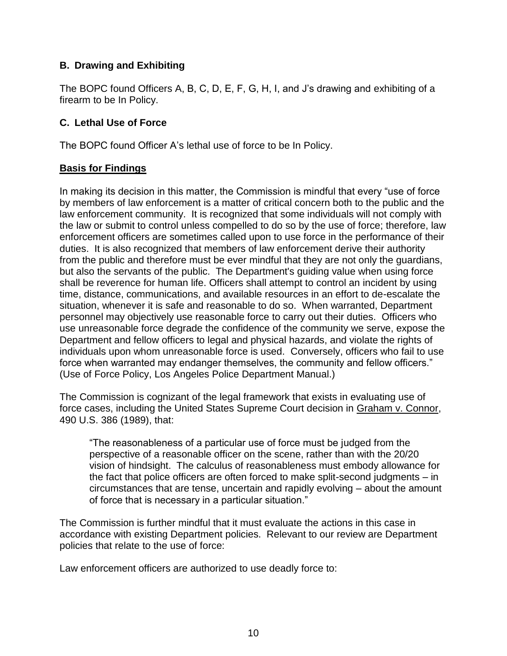# **B. Drawing and Exhibiting**

The BOPC found Officers A, B, C, D, E, F, G, H, I, and J's drawing and exhibiting of a firearm to be In Policy.

## **C. Lethal Use of Force**

The BOPC found Officer A's lethal use of force to be In Policy.

## **Basis for Findings**

In making its decision in this matter, the Commission is mindful that every "use of force by members of law enforcement is a matter of critical concern both to the public and the law enforcement community. It is recognized that some individuals will not comply with the law or submit to control unless compelled to do so by the use of force; therefore, law enforcement officers are sometimes called upon to use force in the performance of their duties. It is also recognized that members of law enforcement derive their authority from the public and therefore must be ever mindful that they are not only the guardians, but also the servants of the public. The Department's guiding value when using force shall be reverence for human life. Officers shall attempt to control an incident by using time, distance, communications, and available resources in an effort to de-escalate the situation, whenever it is safe and reasonable to do so. When warranted, Department personnel may objectively use reasonable force to carry out their duties. Officers who use unreasonable force degrade the confidence of the community we serve, expose the Department and fellow officers to legal and physical hazards, and violate the rights of individuals upon whom unreasonable force is used. Conversely, officers who fail to use force when warranted may endanger themselves, the community and fellow officers." (Use of Force Policy, Los Angeles Police Department Manual.)

The Commission is cognizant of the legal framework that exists in evaluating use of force cases, including the United States Supreme Court decision in Graham v. Connor, 490 U.S. 386 (1989), that:

"The reasonableness of a particular use of force must be judged from the perspective of a reasonable officer on the scene, rather than with the 20/20 vision of hindsight. The calculus of reasonableness must embody allowance for the fact that police officers are often forced to make split-second judgments – in circumstances that are tense, uncertain and rapidly evolving – about the amount of force that is necessary in a particular situation."

The Commission is further mindful that it must evaluate the actions in this case in accordance with existing Department policies. Relevant to our review are Department policies that relate to the use of force:

Law enforcement officers are authorized to use deadly force to: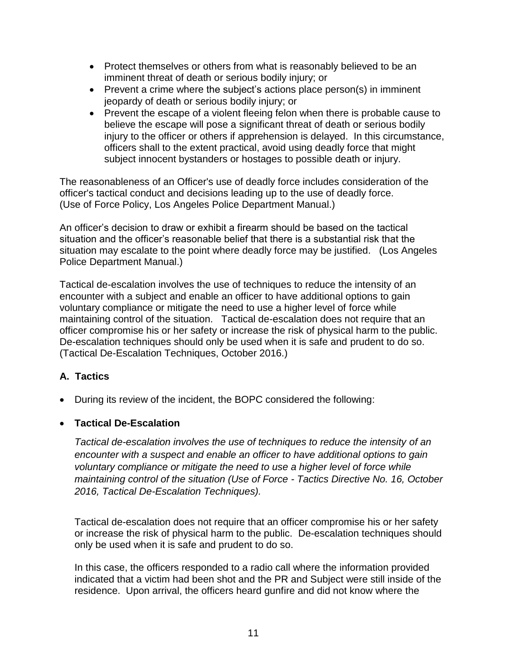- Protect themselves or others from what is reasonably believed to be an imminent threat of death or serious bodily injury; or
- Prevent a crime where the subject's actions place person(s) in imminent jeopardy of death or serious bodily injury; or
- Prevent the escape of a violent fleeing felon when there is probable cause to believe the escape will pose a significant threat of death or serious bodily injury to the officer or others if apprehension is delayed. In this circumstance, officers shall to the extent practical, avoid using deadly force that might subject innocent bystanders or hostages to possible death or injury.

The reasonableness of an Officer's use of deadly force includes consideration of the officer's tactical conduct and decisions leading up to the use of deadly force. (Use of Force Policy, Los Angeles Police Department Manual.)

An officer's decision to draw or exhibit a firearm should be based on the tactical situation and the officer's reasonable belief that there is a substantial risk that the situation may escalate to the point where deadly force may be justified. (Los Angeles Police Department Manual.)

Tactical de-escalation involves the use of techniques to reduce the intensity of an encounter with a subject and enable an officer to have additional options to gain voluntary compliance or mitigate the need to use a higher level of force while maintaining control of the situation. Tactical de-escalation does not require that an officer compromise his or her safety or increase the risk of physical harm to the public. De-escalation techniques should only be used when it is safe and prudent to do so. (Tactical De-Escalation Techniques, October 2016.)

# **A. Tactics**

• During its review of the incident, the BOPC considered the following:

### • **Tactical De-Escalation**

*Tactical de-escalation involves the use of techniques to reduce the intensity of an encounter with a suspect and enable an officer to have additional options to gain voluntary compliance or mitigate the need to use a higher level of force while maintaining control of the situation (Use of Force - Tactics Directive No. 16, October 2016, Tactical De-Escalation Techniques).*

Tactical de-escalation does not require that an officer compromise his or her safety or increase the risk of physical harm to the public. De-escalation techniques should only be used when it is safe and prudent to do so.

In this case, the officers responded to a radio call where the information provided indicated that a victim had been shot and the PR and Subject were still inside of the residence. Upon arrival, the officers heard gunfire and did not know where the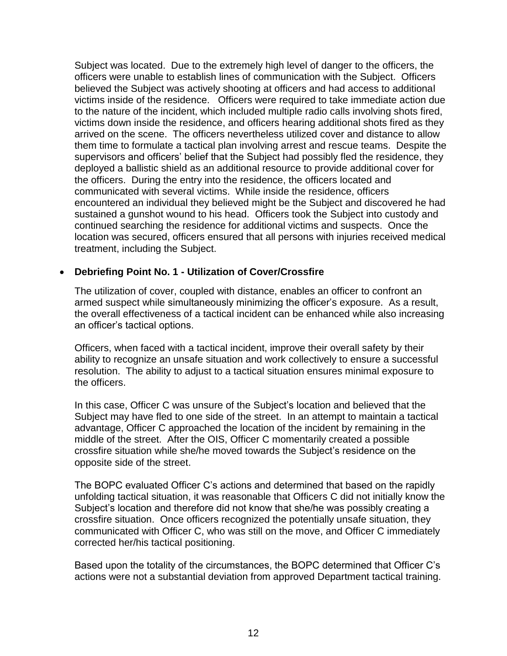Subject was located. Due to the extremely high level of danger to the officers, the officers were unable to establish lines of communication with the Subject. Officers believed the Subject was actively shooting at officers and had access to additional victims inside of the residence. Officers were required to take immediate action due to the nature of the incident, which included multiple radio calls involving shots fired, victims down inside the residence, and officers hearing additional shots fired as they arrived on the scene. The officers nevertheless utilized cover and distance to allow them time to formulate a tactical plan involving arrest and rescue teams. Despite the supervisors and officers' belief that the Subject had possibly fled the residence, they deployed a ballistic shield as an additional resource to provide additional cover for the officers. During the entry into the residence, the officers located and communicated with several victims. While inside the residence, officers encountered an individual they believed might be the Subject and discovered he had sustained a gunshot wound to his head. Officers took the Subject into custody and continued searching the residence for additional victims and suspects. Once the location was secured, officers ensured that all persons with injuries received medical treatment, including the Subject.

### • **Debriefing Point No. 1 - Utilization of Cover/Crossfire**

The utilization of cover, coupled with distance, enables an officer to confront an armed suspect while simultaneously minimizing the officer's exposure. As a result, the overall effectiveness of a tactical incident can be enhanced while also increasing an officer's tactical options.

Officers, when faced with a tactical incident, improve their overall safety by their ability to recognize an unsafe situation and work collectively to ensure a successful resolution. The ability to adjust to a tactical situation ensures minimal exposure to the officers.

In this case, Officer C was unsure of the Subject's location and believed that the Subject may have fled to one side of the street. In an attempt to maintain a tactical advantage, Officer C approached the location of the incident by remaining in the middle of the street. After the OIS, Officer C momentarily created a possible crossfire situation while she/he moved towards the Subject's residence on the opposite side of the street.

The BOPC evaluated Officer C's actions and determined that based on the rapidly unfolding tactical situation, it was reasonable that Officers C did not initially know the Subject's location and therefore did not know that she/he was possibly creating a crossfire situation. Once officers recognized the potentially unsafe situation, they communicated with Officer C, who was still on the move, and Officer C immediately corrected her/his tactical positioning.

Based upon the totality of the circumstances, the BOPC determined that Officer C's actions were not a substantial deviation from approved Department tactical training.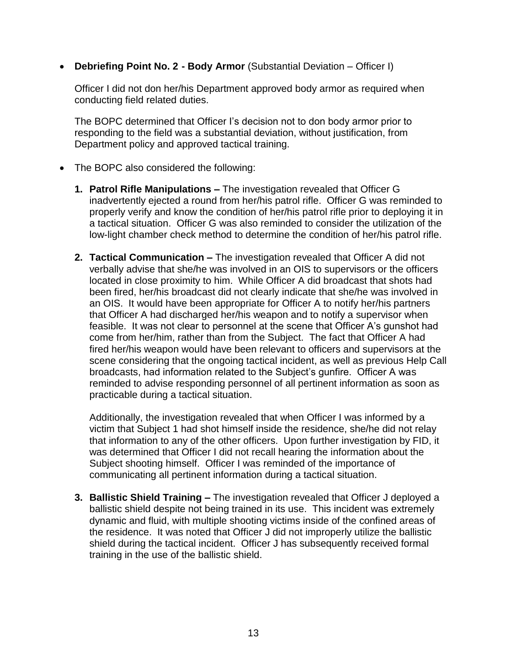• **Debriefing Point No. 2 - Body Armor** (Substantial Deviation – Officer I)

Officer I did not don her/his Department approved body armor as required when conducting field related duties.

The BOPC determined that Officer I's decision not to don body armor prior to responding to the field was a substantial deviation, without justification, from Department policy and approved tactical training.

- The BOPC also considered the following:
	- **1. Patrol Rifle Manipulations –** The investigation revealed that Officer G inadvertently ejected a round from her/his patrol rifle. Officer G was reminded to properly verify and know the condition of her/his patrol rifle prior to deploying it in a tactical situation. Officer G was also reminded to consider the utilization of the low-light chamber check method to determine the condition of her/his patrol rifle.
	- **2. Tactical Communication –** The investigation revealed that Officer A did not verbally advise that she/he was involved in an OIS to supervisors or the officers located in close proximity to him. While Officer A did broadcast that shots had been fired, her/his broadcast did not clearly indicate that she/he was involved in an OIS. It would have been appropriate for Officer A to notify her/his partners that Officer A had discharged her/his weapon and to notify a supervisor when feasible. It was not clear to personnel at the scene that Officer A's gunshot had come from her/him, rather than from the Subject. The fact that Officer A had fired her/his weapon would have been relevant to officers and supervisors at the scene considering that the ongoing tactical incident, as well as previous Help Call broadcasts, had information related to the Subject's gunfire. Officer A was reminded to advise responding personnel of all pertinent information as soon as practicable during a tactical situation.

Additionally, the investigation revealed that when Officer I was informed by a victim that Subject 1 had shot himself inside the residence, she/he did not relay that information to any of the other officers. Upon further investigation by FID, it was determined that Officer I did not recall hearing the information about the Subject shooting himself. Officer I was reminded of the importance of communicating all pertinent information during a tactical situation.

**3. Ballistic Shield Training –** The investigation revealed that Officer J deployed a ballistic shield despite not being trained in its use. This incident was extremely dynamic and fluid, with multiple shooting victims inside of the confined areas of the residence. It was noted that Officer J did not improperly utilize the ballistic shield during the tactical incident. Officer J has subsequently received formal training in the use of the ballistic shield.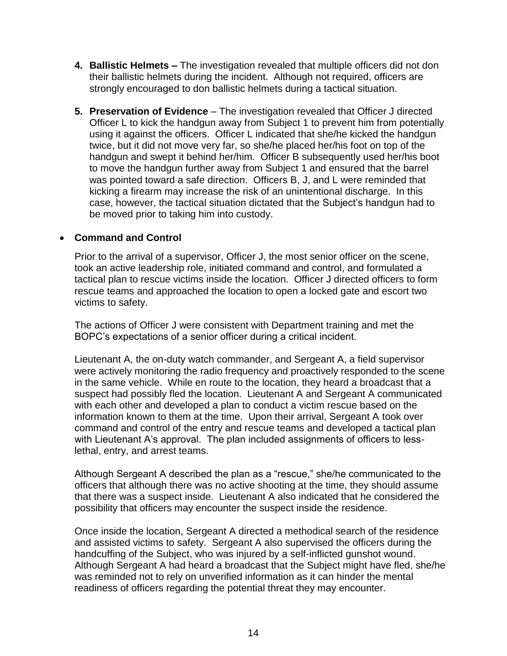- **4. Ballistic Helmets –** The investigation revealed that multiple officers did not don their ballistic helmets during the incident. Although not required, officers are strongly encouraged to don ballistic helmets during a tactical situation.
- **5. Preservation of Evidence** The investigation revealed that Officer J directed Officer L to kick the handgun away from Subject 1 to prevent him from potentially using it against the officers. Officer L indicated that she/he kicked the handgun twice, but it did not move very far, so she/he placed her/his foot on top of the handgun and swept it behind her/him. Officer B subsequently used her/his boot to move the handgun further away from Subject 1 and ensured that the barrel was pointed toward a safe direction. Officers B, J, and L were reminded that kicking a firearm may increase the risk of an unintentional discharge. In this case, however, the tactical situation dictated that the Subject's handgun had to be moved prior to taking him into custody.

## • **Command and Control**

Prior to the arrival of a supervisor, Officer J, the most senior officer on the scene, took an active leadership role, initiated command and control, and formulated a tactical plan to rescue victims inside the location. Officer J directed officers to form rescue teams and approached the location to open a locked gate and escort two victims to safety.

The actions of Officer J were consistent with Department training and met the BOPC's expectations of a senior officer during a critical incident.

Lieutenant A, the on-duty watch commander, and Sergeant A, a field supervisor were actively monitoring the radio frequency and proactively responded to the scene in the same vehicle. While en route to the location, they heard a broadcast that a suspect had possibly fled the location. Lieutenant A and Sergeant A communicated with each other and developed a plan to conduct a victim rescue based on the information known to them at the time. Upon their arrival, Sergeant A took over command and control of the entry and rescue teams and developed a tactical plan with Lieutenant A's approval. The plan included assignments of officers to lesslethal, entry, and arrest teams.

Although Sergeant A described the plan as a "rescue," she/he communicated to the officers that although there was no active shooting at the time, they should assume that there was a suspect inside. Lieutenant A also indicated that he considered the possibility that officers may encounter the suspect inside the residence.

Once inside the location, Sergeant A directed a methodical search of the residence and assisted victims to safety. Sergeant A also supervised the officers during the handcuffing of the Subject, who was injured by a self-inflicted gunshot wound. Although Sergeant A had heard a broadcast that the Subject might have fled, she/he was reminded not to rely on unverified information as it can hinder the mental readiness of officers regarding the potential threat they may encounter.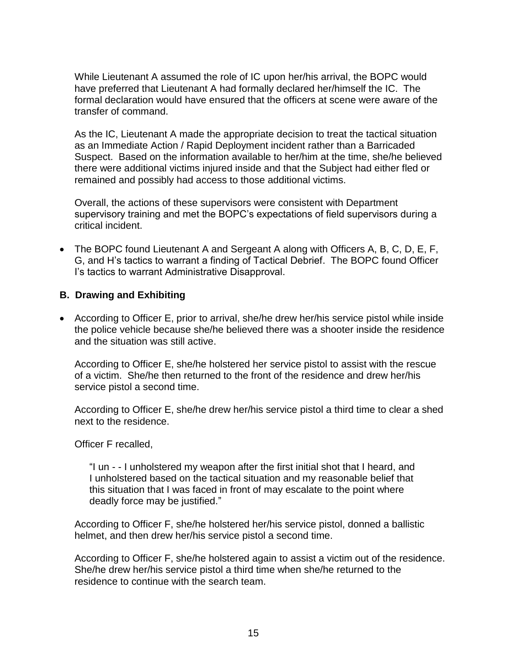While Lieutenant A assumed the role of IC upon her/his arrival, the BOPC would have preferred that Lieutenant A had formally declared her/himself the IC. The formal declaration would have ensured that the officers at scene were aware of the transfer of command.

As the IC, Lieutenant A made the appropriate decision to treat the tactical situation as an Immediate Action / Rapid Deployment incident rather than a Barricaded Suspect. Based on the information available to her/him at the time, she/he believed there were additional victims injured inside and that the Subject had either fled or remained and possibly had access to those additional victims.

Overall, the actions of these supervisors were consistent with Department supervisory training and met the BOPC's expectations of field supervisors during a critical incident.

• The BOPC found Lieutenant A and Sergeant A along with Officers A, B, C, D, E, F, G, and H's tactics to warrant a finding of Tactical Debrief. The BOPC found Officer I's tactics to warrant Administrative Disapproval.

## **B. Drawing and Exhibiting**

• According to Officer E, prior to arrival, she/he drew her/his service pistol while inside the police vehicle because she/he believed there was a shooter inside the residence and the situation was still active.

According to Officer E, she/he holstered her service pistol to assist with the rescue of a victim. She/he then returned to the front of the residence and drew her/his service pistol a second time.

According to Officer E, she/he drew her/his service pistol a third time to clear a shed next to the residence.

Officer F recalled,

"I un - - I unholstered my weapon after the first initial shot that I heard, and I unholstered based on the tactical situation and my reasonable belief that this situation that I was faced in front of may escalate to the point where deadly force may be justified."

According to Officer F, she/he holstered her/his service pistol, donned a ballistic helmet, and then drew her/his service pistol a second time.

According to Officer F, she/he holstered again to assist a victim out of the residence. She/he drew her/his service pistol a third time when she/he returned to the residence to continue with the search team.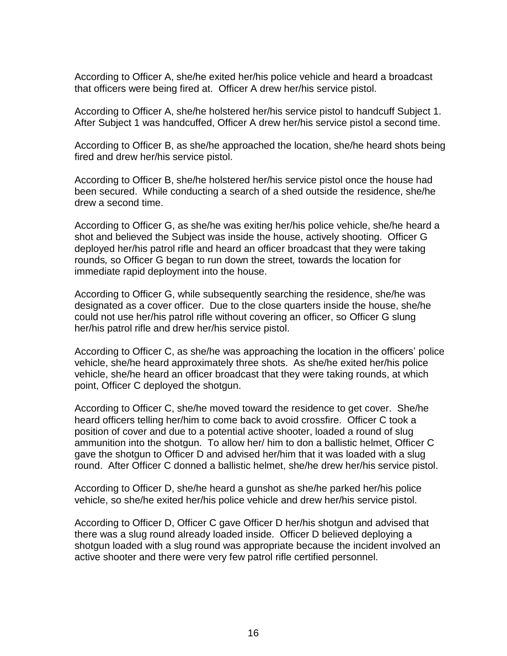According to Officer A, she/he exited her/his police vehicle and heard a broadcast that officers were being fired at. Officer A drew her/his service pistol.

According to Officer A, she/he holstered her/his service pistol to handcuff Subject 1. After Subject 1 was handcuffed, Officer A drew her/his service pistol a second time.

According to Officer B, as she/he approached the location, she/he heard shots being fired and drew her/his service pistol.

According to Officer B, she/he holstered her/his service pistol once the house had been secured. While conducting a search of a shed outside the residence, she/he drew a second time.

According to Officer G, as she/he was exiting her/his police vehicle, she/he heard a shot and believed the Subject was inside the house, actively shooting. Officer G deployed her/his patrol rifle and heard an officer broadcast that they were taking rounds*,* so Officer G began to run down the street*,* towards the location for immediate rapid deployment into the house.

According to Officer G, while subsequently searching the residence, she/he was designated as a cover officer. Due to the close quarters inside the house, she/he could not use her/his patrol rifle without covering an officer, so Officer G slung her/his patrol rifle and drew her/his service pistol.

According to Officer C, as she/he was approaching the location in the officers' police vehicle, she/he heard approximately three shots. As she/he exited her/his police vehicle, she/he heard an officer broadcast that they were taking rounds, at which point, Officer C deployed the shotgun.

According to Officer C, she/he moved toward the residence to get cover. She/he heard officers telling her/him to come back to avoid crossfire. Officer C took a position of cover and due to a potential active shooter, loaded a round of slug ammunition into the shotgun. To allow her/ him to don a ballistic helmet, Officer C gave the shotgun to Officer D and advised her/him that it was loaded with a slug round. After Officer C donned a ballistic helmet, she/he drew her/his service pistol.

According to Officer D, she/he heard a gunshot as she/he parked her/his police vehicle, so she/he exited her/his police vehicle and drew her/his service pistol.

According to Officer D, Officer C gave Officer D her/his shotgun and advised that there was a slug round already loaded inside. Officer D believed deploying a shotgun loaded with a slug round was appropriate because the incident involved an active shooter and there were very few patrol rifle certified personnel.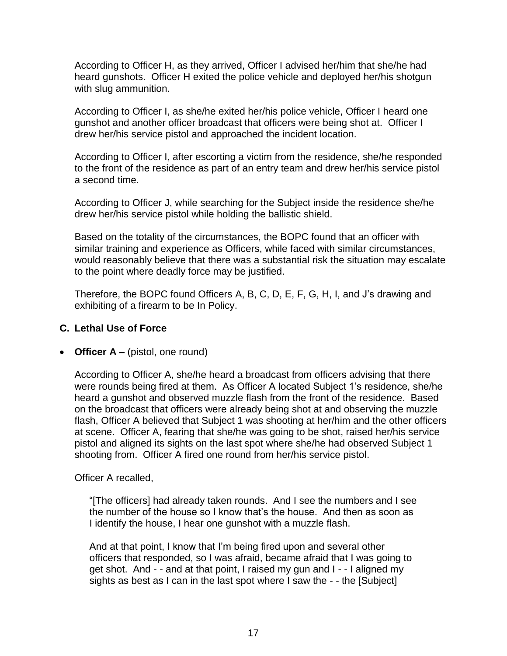According to Officer H, as they arrived, Officer I advised her/him that she/he had heard gunshots. Officer H exited the police vehicle and deployed her/his shotgun with slug ammunition.

According to Officer I, as she/he exited her/his police vehicle, Officer I heard one gunshot and another officer broadcast that officers were being shot at. Officer I drew her/his service pistol and approached the incident location.

According to Officer I, after escorting a victim from the residence, she/he responded to the front of the residence as part of an entry team and drew her/his service pistol a second time.

According to Officer J, while searching for the Subject inside the residence she/he drew her/his service pistol while holding the ballistic shield.

Based on the totality of the circumstances, the BOPC found that an officer with similar training and experience as Officers, while faced with similar circumstances, would reasonably believe that there was a substantial risk the situation may escalate to the point where deadly force may be justified.

Therefore, the BOPC found Officers A, B, C, D, E, F, G, H, I, and J's drawing and exhibiting of a firearm to be In Policy.

## **C. Lethal Use of Force**

### • **Officer A –** (pistol, one round)

According to Officer A, she/he heard a broadcast from officers advising that there were rounds being fired at them. As Officer A located Subject 1's residence, she/he heard a gunshot and observed muzzle flash from the front of the residence. Based on the broadcast that officers were already being shot at and observing the muzzle flash, Officer A believed that Subject 1 was shooting at her/him and the other officers at scene. Officer A, fearing that she/he was going to be shot, raised her/his service pistol and aligned its sights on the last spot where she/he had observed Subject 1 shooting from. Officer A fired one round from her/his service pistol.

### Officer A recalled,

"[The officers] had already taken rounds. And I see the numbers and I see the number of the house so I know that's the house. And then as soon as I identify the house, I hear one gunshot with a muzzle flash.

And at that point, I know that I'm being fired upon and several other officers that responded, so I was afraid, became afraid that I was going to get shot. And - - and at that point, I raised my gun and I - - I aligned my sights as best as I can in the last spot where I saw the - - the [Subject]